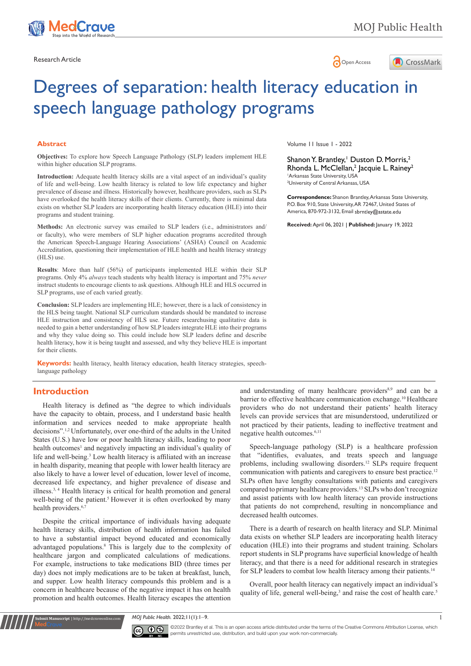



# Degrees of separation: health literacy education in speech language pathology programs

#### **Abstract**

**Objectives:** To explore how Speech Language Pathology (SLP) leaders implement HLE within higher education SLP programs.

**Introduction:** Adequate health literacy skills are a vital aspect of an individual's quality of life and well-being. Low health literacy is related to low life expectancy and higher prevalence of disease and illness. Historically however, healthcare providers, such as SLPs have overlooked the health literacy skills of their clients. Currently, there is minimal data exists on whether SLP leaders are incorporating health literacy education (HLE) into their programs and student training.

**Methods:** An electronic survey was emailed to SLP leaders (i.e., administrators and/ or faculty), who were members of SLP higher education programs accredited through the American Speech-Language Hearing Associations' (ASHA) Council on Academic Accreditation, questioning their implementation of HLE health and health literacy strategy (HLS) use.

**Results**: More than half (56%) of participants implemented HLE within their SLP programs. Only 4% *always* teach students why health literacy is important and 75% *never*  instruct students to encourage clients to ask questions. Although HLE and HLS occurred in SLP programs, use of each varied greatly.

**Conclusion:** SLP leaders are implementing HLE; however, there is a lack of consistency in the HLS being taught. National SLP curriculum standards should be mandated to increase HLE instruction and consistency of HLS use. Future researchusing qualitative data is needed to gain a better understanding of how SLP leaders integrate HLE into their programs and why they value doing so. This could include how SLP leaders define and describe health literacy, how it is being taught and assessed, and why they believe HLE is important for their clients.

**Keywords:** health literacy, health literacy education, health literacy strategies, speechlanguage pathology

# **Introduction**

**Submit Manuscript** | http://medcraveonline.com

Health literacy is defined as "the degree to which individuals have the capacity to obtain, process, and I understand basic health information and services needed to make appropriate health decisions".1,2 Unfortunately, over one-third of the adults in the United States (U.S.) have low or poor health literacy skills, leading to poor health outcomes<sup>1</sup> and negatively impacting an individual's quality of life and well-being.<sup>3</sup> Low health literacy is affiliated with an increase in health disparity, meaning that people with lower health literacy are also likely to have a lower level of education, lower level of income, decreased life expectancy, and higher prevalence of disease and illness.3, 4 Health literacy is critical for health promotion and general well-being of the patient.<sup>5</sup> However it is often overlooked by many health providers.<sup>6,7</sup>

Despite the critical importance of individuals having adequate health literacy skills, distribution of health information has failed to have a substantial impact beyond educated and economically advantaged populations.<sup>8</sup> This is largely due to the complexity of healthcare jargon and complicated calculations of medications. For example, instructions to take medications BID (three times per day) does not imply medications are to be taken at breakfast, lunch, and supper. Low health literacy compounds this problem and is a concern in healthcare because of the negative impact it has on health promotion and health outcomes. Health literacy escapes the attention

Volume 11 Issue 1 - 2022

Shanon Y. Brantley,<sup>1</sup> Duston D. Morris,<sup>2</sup> Rhonda L. McClellan,<sup>2</sup> Jacquie L. Rainey<sup>2</sup> 1 Arkansas State University, USA 2 University of Central Arkansas, USA

**Correspondence:** Shanon Brantley, Arkansas State University, P.O. Box 910, State University, AR 72467, United States of America, 870-972-3132, Email sbrntley@astate.edu

**Received:** April 06, 2021 | **Published:** January 19, 2022

and understanding of many healthcare providers<sup>8,9</sup> and can be a barrier to effective healthcare communication exchange.<sup>10</sup> Healthcare providers who do not understand their patients' health literacy levels can provide services that are misunderstood, underutilized or not practiced by their patients, leading to ineffective treatment and negative health outcomes.<sup>6,11</sup>

Speech-language pathology (SLP) is a healthcare profession that "identifies, evaluates, and treats speech and language problems, including swallowing disorders.12 SLPs require frequent communication with patients and caregivers to ensure best practice.<sup>12</sup> SLPs often have lengthy consultations with patients and caregivers compared to primary healthcare providers.<sup>13</sup> SLPs who don't recognize and assist patients with low health literacy can provide instructions that patients do not comprehend, resulting in noncompliance and decreased health outcomes.

There is a dearth of research on health literacy and SLP. Minimal data exists on whether SLP leaders are incorporating health literacy education (HLE) into their programs and student training. Scholars report students in SLP programs have superficial knowledge of health literacy, and that there is a need for additional research in strategies for SLP leaders to combat low health literacy among their patients.<sup>14</sup>

Overall, poor health literacy can negatively impact an individual's quality of life, general well-being,<sup>3</sup> and raise the cost of health care.<sup>5</sup>

*MOJ Public Health.* 2022;11(1):1‒9. 1



©2022 Brantley et al. This is an open access article distributed under the terms of the [Creative Commons Attribution License,](https://creativecommons.org/licenses/by-nc/4.0/) which permits unrestricted use, distribution, and build upon your work non-commercially.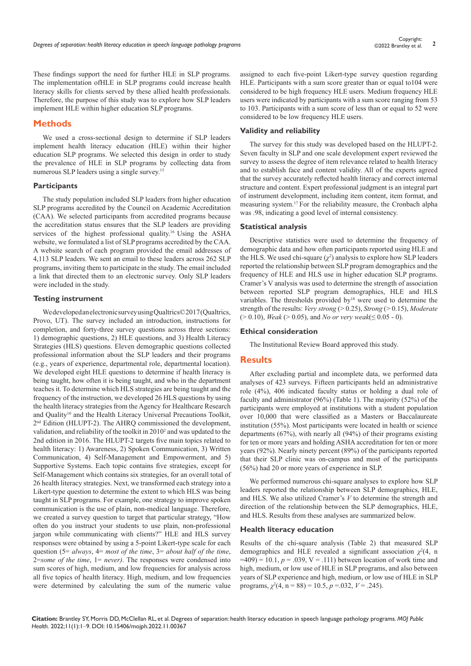These findings support the need for further HLE in SLP programs. The implementation ofHLE in SLP programs could increase health literacy skills for clients served by these allied health professionals. Therefore, the purpose of this study was to explore how SLP leaders implement HLE within higher education SLP programs.

# **Methods**

We used a cross-sectional design to determine if SLP leaders implement health literacy education (HLE) within their higher education SLP programs. We selected this design in order to study the prevalence of HLE in SLP programs by collecting data from numerous SLP leaders using a single survey.<sup>15</sup>

#### **Participants**

The study population included SLP leaders from higher education SLP programs accredited by the Council on Academic Accreditation (CAA). We selected participants from accredited programs because the accreditation status ensures that the SLP leaders are providing services of the highest professional quality.<sup>16</sup> Using the ASHA website, we formulated a list of SLP programs accredited by the CAA. A website search of each program provided the email addresses of 4,113 SLP leaders. We sent an email to these leaders across 262 SLP programs, inviting them to participate in the study. The email included a link that directed them to an electronic survey. Only SLP leaders were included in the study.

#### **Testing instrument**

We developed an electronic survey using Qualtrics© 2017 (Qualtrics, Provo, UT). The survey included an introduction, instructions for completion, and forty-three survey questions across three sections: 1) demographic questions, 2) HLE questions, and 3) Health Literacy Strategies (HLS) questions. Eleven demographic questions collected professional information about the SLP leaders and their programs (e.g., years of experience, departmental role, departmental location). We developed eight HLE questions to determine if health literacy is being taught, how often it is being taught, and who in the department teaches it. To determine which HLS strategies are being taught and the frequency of the instruction, we developed 26 HLS questions by using the health literacy strategies from the Agency for Healthcare Research and Quality<sup>10</sup> and the Health Literacy Universal Precautions Toolkit, 2<sup>nd</sup> Edition (HLUPT-2). The AHRQ commissioned the development, validation, and reliability of the toolkit in 2010<sup>2</sup> and was updated to the 2nd edition in 2016. The HLUPT-2 targets five main topics related to health literacy: 1) Awareness, 2) Spoken Communication, 3) Written Communication, 4) Self-Management and Empowerment, and 5) Supportive Systems. Each topic contains five strategies, except for Self-Management which contains six strategies, for an overall total of 26 health literacy strategies. Next, we transformed each strategy into a Likert-type question to determine the extent to which HLS was being taught in SLP programs. For example, one strategy to improve spoken communication is the use of plain, non-medical language. Therefore, we created a survey question to target that particular strategy, "How often do you instruct your students to use plain, non-professional jargon while communicating with clients?" HLE and HLS survey responses were obtained by using a 5-point Likert-type scale for each question (5= *always*, 4= *most of the time*, 3= *about half of the time*, 2=*some of the time*, 1= *never)*. The responses were condensed into sum scores of high, medium, and low frequencies for analysis across all five topics of health literacy. High, medium, and low frequencies were determined by calculating the sum of the numeric value

assigned to each five-point Likert-type survey question regarding HLE. Participants with a sum score greater than or equal to104 were considered to be high frequency HLE users. Medium frequency HLE users were indicated by participants with a sum score ranging from 53 to 103. Participants with a sum score of less than or equal to 52 were considered to be low frequency HLE users.

#### **Validity and reliability**

The survey for this study was developed based on the HLUPT-2. Seven faculty in SLP and one scale development expert reviewed the survey to assess the degree of item relevance related to health literacy and to establish face and content validity. All of the experts agreed that the survey accurately reflected health literacy and correct internal structure and content. Expert professional judgment is an integral part of instrument development, including item content, item format, and measuring system.17 For the reliability measure, the Cronbach alpha was .98, indicating a good level of internal consistency.

### **Statistical analysis**

Descriptive statistics were used to determine the frequency of demographic data and how often participants reported using HLE and the HLS. We used chi-square  $(\chi^2)$  analysis to explore how SLP leaders reported the relationship between SLP program demographics and the frequency of HLE and HLS use in higher education SLP programs. Cramer's V analysis was used to determine the strength of association between reported SLP program demographics, HLE and HLS variables. The thresholds provided by<sup>18</sup> were used to determine the strength of the results: *Very strong* (> 0.25), *Strong* (> 0.15), *Moderate*  (> 0.10), *Weak* (> 0.05), and *No or very weak*(≤ 0.05 - 0).

#### **Ethical consideration**

The Institutional Review Board approved this study.

#### **Results**

After excluding partial and incomplete data, we performed data analyses of 423 surveys. Fifteen participants held an administrative role (4%), 406 indicated faculty status or holding a dual role of faculty and administrator (96%) (Table 1). The majority (52%) of the participants were employed at institutions with a student population over 10,000 that were classified as a Masters or Baccalaureate institution (55%). Most participants were located in health or science departments (67%), with nearly all (94%) of their programs existing for ten or more years and holding ASHA accreditation for ten or more years (92%). Nearly ninety percent (89%) of the participants reported that their SLP clinic was on-campus and most of the participants (56%) had 20 or more years of experience in SLP.

We performed numerous chi-square analyses to explore how SLP leaders reported the relationship between SLP demographics, HLE, and HLS. We also utilized Cramer's *V* to determine the strength and direction of the relationship between the SLP demographics, HLE, and HLS. Results from these analyses are summarized below.

#### **Health literacy education**

Results of the chi-square analysis (Table 2) that measured SLP demographics and HLE revealed a significant association  $\chi^2(4, n)$  $=409$ ) = 10.1,  $p = .039$ , V = .111) between location of work time and high, medium, or low use of HLE in SLP programs, and also between years of SLP experience and high, medium, or low use of HLE in SLP programs,  $\chi^2(4, n = 88) = 10.5, p = .032, V = .245$ .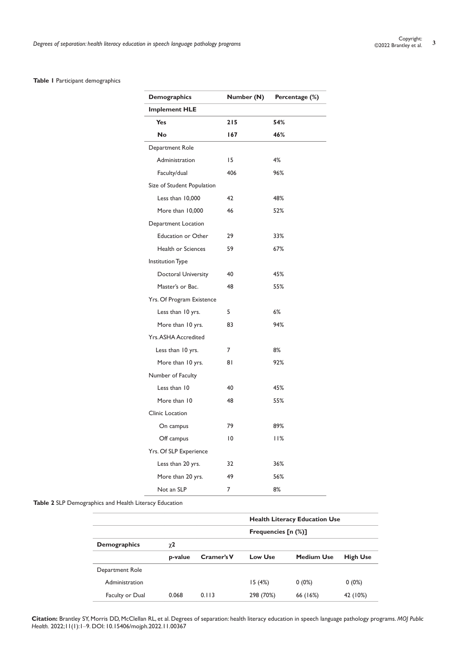## **Table 1** Participant demographics

| <b>Demographics</b>        | Number (N) | Percentage (%) |
|----------------------------|------------|----------------|
| <b>Implement HLE</b>       |            |                |
| <b>Yes</b>                 | 215        | 54%            |
| <b>No</b>                  | 167        | 46%            |
| Department Role            |            |                |
| Administration             | 15         | 4%             |
| Faculty/dual               | 406        | 96%            |
| Size of Student Population |            |                |
| Less than 10,000           | 42         | 48%            |
| More than 10,000           | 46         | 52%            |
| Department Location        |            |                |
| <b>Education or Other</b>  | 29         | 33%            |
| Health or Sciences         | 59         | 67%            |
| Institution Type           |            |                |
| Doctoral University        | 40         | 45%            |
| Master's or Bac.           | 48         | 55%            |
| Yrs. Of Program Existence  |            |                |
| Less than 10 yrs.          | 5          | 6%             |
| More than 10 yrs.          | 83         | 94%            |
| <b>Yrs.ASHA Accredited</b> |            |                |
| Less than 10 yrs.          | 7          | 8%             |
| More than 10 yrs.          | 81         | 92%            |
| Number of Faculty          |            |                |
| Less than 10               | 40         | 45%            |
| More than 10               | 48         | 55%            |
| Clinic Location            |            |                |
| On campus                  | 79         | 89%            |
| Off campus                 | 10         | 11%            |
| Yrs. Of SLP Experience     |            |                |
| Less than 20 yrs.          | 32         | 36%            |
| More than 20 yrs.          | 49         | 56%            |
| Not an SLP                 | 7          | 8%             |

# **Table 2** SLP Demographics and Health Literacy Education

|                     |          |            | <b>Health Literacy Education Use</b>            |                   |                 |  |
|---------------------|----------|------------|-------------------------------------------------|-------------------|-----------------|--|
|                     |          |            | Frequencies $\lceil n \cdot \frac{1}{2} \rceil$ |                   |                 |  |
| <b>Demographics</b> | $\chi$ 2 |            |                                                 |                   |                 |  |
|                     | p-value  | Cramer's V | <b>Low Use</b>                                  | <b>Medium Use</b> | <b>High Use</b> |  |
| Department Role     |          |            |                                                 |                   |                 |  |
| Administration      |          |            | 15(4%)                                          | $0(0\%)$          | $0(0\%)$        |  |
| Faculty or Dual     | 0.068    | 0.113      | 298 (70%)                                       | 66 (16%)          | 42 (10%)        |  |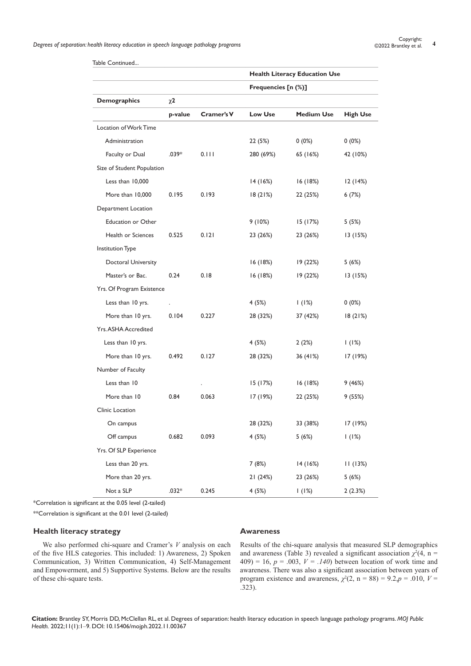|                            |         |            | <b>Health Literacy Education Use</b> |                   |                 |
|----------------------------|---------|------------|--------------------------------------|-------------------|-----------------|
|                            |         |            | Frequencies [n (%)]                  |                   |                 |
| <b>Demographics</b>        | χ2      |            |                                      |                   |                 |
|                            | p-value | Cramer's V | <b>Low Use</b>                       | <b>Medium Use</b> | <b>High Use</b> |
| Location of Work Time      |         |            |                                      |                   |                 |
| Administration             |         |            | 22 (5%)                              | $0(0\%)$          | $0(0\%)$        |
| Faculty or Dual            | $.039*$ | 0.111      | 280 (69%)                            | 65 (16%)          | 42 (10%)        |
| Size of Student Population |         |            |                                      |                   |                 |
| Less than 10,000           |         |            | 14 (16%)                             | 16(18%)           | 12(14%)         |
| More than 10,000           | 0.195   | 0.193      | 18(21%)                              | 22 (25%)          | 6(7%)           |
| Department Location        |         |            |                                      |                   |                 |
| <b>Education or Other</b>  |         |            | 9 (10%)                              | 15(17%)           | 5 (5%)          |
| Health or Sciences         | 0.525   | 0.121      | 23 (26%)                             | 23 (26%)          | 13(15%)         |
| Institution Type           |         |            |                                      |                   |                 |
| Doctoral University        |         |            | 16(18%)                              | 19 (22%)          | 5(6%)           |
| Master's or Bac.           | 0.24    | 0.18       | 16(18%)                              | 19 (22%)          | 13(15%)         |
| Yrs. Of Program Existence  |         |            |                                      |                   |                 |
| Less than 10 yrs.          |         |            | 4(5%)                                | 1(1%)             | $0(0\%)$        |
| More than 10 yrs.          | 0.104   | 0.227      | 28 (32%)                             | 37 (42%)          | 18(21%)         |
| <b>Yrs.ASHA Accredited</b> |         |            |                                      |                   |                 |
| Less than 10 yrs.          |         |            | 4 (5%)                               | 2(2%)             | 1(1%)           |
| More than 10 yrs.          | 0.492   | 0.127      | 28 (32%)                             | 36 (41%)          | 17 (19%)        |
| Number of Faculty          |         |            |                                      |                   |                 |
| Less than 10               |         |            | 15 (17%)                             | 16(18%)           | 9 (46%)         |
| More than 10               | 0.84    | 0.063      | 17 (19%)                             | 22 (25%)          | 9(55%)          |
| Clinic Location            |         |            |                                      |                   |                 |
| On campus                  |         |            | 28 (32%)                             | 33 (38%)          | 17 (19%)        |
| Off campus                 | 0.682   | 0.093      | 4(5%)                                | 5(6%)             | 1(1%)           |
| Yrs. Of SLP Experience     |         |            |                                      |                   |                 |
| Less than 20 yrs.          |         |            | 7(8%)                                | 14(16%)           | 11(13%)         |
| More than 20 yrs.          |         |            | 21 (24%)                             | 23 (26%)          | 5(6%)           |
| Not a SLP                  | $.032*$ | 0.245      | 4(5%)                                | 1(1%)             | 2(2.3%)         |

Table Continued...

\*Correlation is significant at the 0.05 level (2-tailed)

\*\*Correlation is significant at the 0.01 level (2-tailed)

# **Health literacy strategy**

## **Awareness**

We also performed chi-square and Cramer's *V* analysis on each of the five HLS categories. This included: 1) Awareness, 2) Spoken Communication, 3) Written Communication, 4) Self-Management and Empowerment, and 5) Supportive Systems. Below are the results of these chi-square tests.

Results of the chi-square analysis that measured SLP demographics and awareness (Table 3) revealed a significant association  $\chi^2(4, n =$ 409) = 16,  $p = .003$ ,  $V = .140$ ) between location of work time and awareness. There was also a significant association between years of program existence and awareness,  $\chi^2(2, n = 88) = 9.2, p = .010, V =$ .323).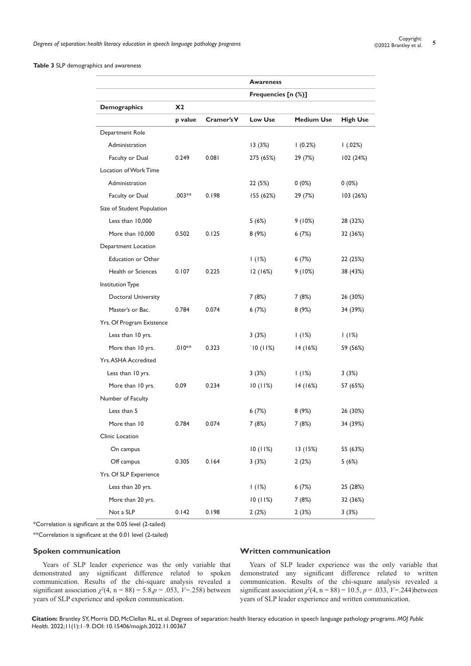#### **Table 3** SLP demographics and awareness

|                            |                |            | <b>Awareness</b>    |                   |                 |
|----------------------------|----------------|------------|---------------------|-------------------|-----------------|
|                            |                |            | Frequencies [n (%)] |                   |                 |
| <b>Demographics</b>        | X <sub>2</sub> |            |                     |                   |                 |
|                            | p value        | Cramer's V | <b>Low Use</b>      | <b>Medium Use</b> | <b>High Use</b> |
| Department Role            |                |            |                     |                   |                 |
| Administration             |                |            | 13(3%)              | (0.2%)            | 1(.02%)         |
| Faculty or Dual            | 0.249          | 0.081      | 275 (65%)           | 29 (7%)           | 102 (24%)       |
| Location of Work Time      |                |            |                     |                   |                 |
| Administration             |                |            | 22 (5%)             | $0(0\%)$          | $0(0\%)$        |
| Faculty or Dual            | $.003**$       | 0.198      | 155 (62%)           | 29 (7%)           | 103 (26%)       |
| Size of Student Population |                |            |                     |                   |                 |
| Less than 10,000           |                |            | 5(6%)               | 9(10%)            | 28 (32%)        |
| More than 10,000           | 0.502          | 0.125      | 8(9%)               | 6(7%)             | 32 (36%)        |
| Department Location        |                |            |                     |                   |                 |
| <b>Education or Other</b>  |                |            | 1(1%)               | 6(7%)             | 22 (25%)        |
| Health or Sciences         | 0.107          | 0.225      | 12(16%)             | 9(10%)            | 38 (43%)        |
| Institution Type           |                |            |                     |                   |                 |
| Doctoral University        |                |            | 7(8%)               | 7(8%)             | 26 (30%)        |
| Master's or Bac.           | 0.784          | 0.074      | 6(7%)               | 8(9%)             | 34 (39%)        |
| Yrs. Of Program Existence  |                |            |                     |                   |                 |
| Less than 10 yrs.          |                |            | 3(3%)               | 1(1%)             | 1(1%)           |
| More than 10 yrs.          | $.010**$       | 0.323      | 10(11%)             | 14(16%)           | 59 (56%)        |
| Yrs. ASHA Accredited       |                |            |                     |                   |                 |
| Less than 10 yrs.          |                |            | 3(3%)               | 1(1%)             | 3 (3%)          |
| More than 10 yrs.          | 0.09           | 0.234      | 10(11%)             | 14(16%)           | 57 (65%)        |
| Number of Faculty          |                |            |                     |                   |                 |
| Less than 5                |                |            | 6(7%)               | 8 (9%)            | 26 (30%)        |
| More than 10               | 0.784          | 0.074      | 7 (8%)              | 7(8%)             | 34 (39%)        |
| Clinic Location            |                |            |                     |                   |                 |
| On campus                  |                |            | 10(11%)             | 13(15%)           | 55 (63%)        |
| Off campus                 | 0.305          | 0.164      | 3(3%)               | 2(2%)             | 5(6%)           |
| Yrs. Of SLP Experience     |                |            |                     |                   |                 |
| Less than 20 yrs.          |                |            | 1(1%)               | 6(7%)             | 25 (28%)        |
| More than 20 yrs.          |                |            | 10(11%)             | 7(8%)             | 32 (36%)        |
| Not a SLP                  | 0.142          | 0.198      | 2(2%)               | 2(3%)             | 3(3%)           |

\*Correlation is significant at the 0.05 level (2-tailed)

\*\*Correlation is significant at the 0.01 level (2-tailed)

#### **Spoken communication**

Years of SLP leader experience was the only variable that demonstrated any significant difference related to spoken communication. Results of the chi-square analysis revealed a significant association  $\chi^2(4, n = 88) = 5.8, p = .053, V = .258$ ) between years of SLP experience and spoken communication.

## **Written communication**

Years of SLP leader experience was the only variable that demonstrated any significant difference related to written communication. Results of the chi-square analysis revealed a significant association  $\chi^2(4, n = 88) = 10.5, p = .033, V = .244$ ) between years of SLP leader experience and written communication.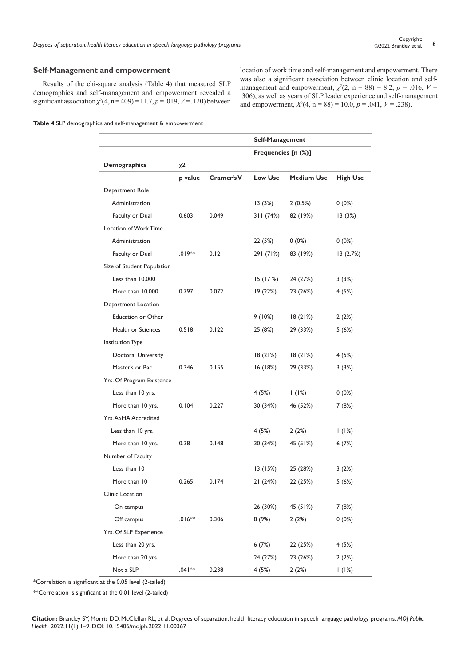#### **Self-Management and empowerment**

Results of the chi-square analysis (Table 4) that measured SLP demographics and self-management and empowerment revealed a significant association  $\chi^2(4, n = 409) = 11.7, p = .019, V = .120$ ) between location of work time and self-management and empowerment. There was also a significant association between clinic location and selfmanagement and empowerment,  $\chi^2(2, n = 88) = 8.2, p = .016, V =$ .306), as well as years of SLP leader experience and self-management and empowerment,  $X^2(4, n = 88) = 10.0, p = .041, V = .238$ ).

**Table 4** SLP demographics and self-management & empowerment

|                            |          |            | Self-Management     |                   |                 |
|----------------------------|----------|------------|---------------------|-------------------|-----------------|
|                            |          |            | Frequencies [n (%)] |                   |                 |
| <b>Demographics</b>        | $\chi$ 2 |            |                     |                   |                 |
|                            | p value  | Cramer's V | Low Use             | <b>Medium Use</b> | <b>High Use</b> |
| Department Role            |          |            |                     |                   |                 |
| Administration             |          |            | 13(3%)              | 2(0.5%)           | $0(0\%)$        |
| Faculty or Dual            | 0.603    | 0.049      | 311 (74%)           | 82 (19%)          | 13(3%)          |
| Location of Work Time      |          |            |                     |                   |                 |
| Administration             |          |            | 22 (5%)             | $0(0\%)$          | $0(0\%)$        |
| Faculty or Dual            | $.019**$ | 0.12       | 291 (71%)           | 83 (19%)          | 13(2.7%)        |
| Size of Student Population |          |            |                     |                   |                 |
| Less than 10,000           |          |            | 15(17%)             | 24 (27%)          | 3 (3%)          |
| More than 10,000           | 0.797    | 0.072      | 19(22%)             | 23 (26%)          | 4 (5%)          |
| Department Location        |          |            |                     |                   |                 |
| <b>Education or Other</b>  |          |            | 9(10%)              | 18(21%)           | 2(2%)           |
| Health or Sciences         | 0.518    | 0.122      | 25 (8%)             | 29 (33%)          | 5(6%)           |
| Institution Type           |          |            |                     |                   |                 |
| Doctoral University        |          |            | 18(21%)             | 18(21%)           | 4 (5%)          |
| Master's or Bac.           | 0.346    | 0.155      | 16 (18%)            | 29 (33%)          | 3(3%)           |
| Yrs. Of Program Existence  |          |            |                     |                   |                 |
| Less than 10 yrs.          |          |            | 4 (5%)              | 1(1%)             | $0(0\%)$        |
| More than 10 yrs.          | 0.104    | 0.227      | 30 (34%)            | 46 (52%)          | 7 (8%)          |
| Yrs. ASHA Accredited       |          |            |                     |                   |                 |
| Less than 10 yrs.          |          |            | 4 (5%)              | 2(2%)             | 1(1%)           |
| More than 10 yrs.          | 0.38     | 0.148      | 30 (34%)            | 45 (51%)          | 6(7%)           |
| Number of Faculty          |          |            |                     |                   |                 |
| Less than 10               |          |            | 13 (15%)            | 25 (28%)          | 3(2%)           |
| More than 10               | 0.265    | 0.174      | 21 (24%)            | 22 (25%)          | 5(6%)           |
| Clinic Location            |          |            |                     |                   |                 |
| On campus                  |          |            | 26 (30%)            | 45 (51%)          | 7(8%)           |
| Off campus                 | $.016**$ | 0.306      | 8(9%)               | 2(2%)             | $0(0\%)$        |
| Yrs. Of SLP Experience     |          |            |                     |                   |                 |
| Less than 20 yrs.          |          |            | 6(7%)               | 22 (25%)          | 4(5%)           |
| More than 20 yrs.          |          |            | 24 (27%)            | 23 (26%)          | 2(2%)           |
| Not a SLP                  | .041**   | 0.238      | 4 (5%)              | 2(2%)             | 1(1%)           |

\*Correlation is significant at the 0.05 level (2-tailed)

\*\*Correlation is significant at the 0.01 level (2-tailed)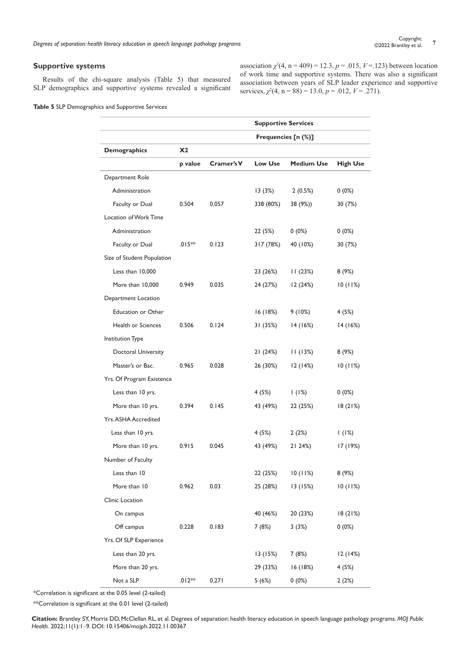# **Supportive systems**

Results of the chi-square analysis (Table 5) that measured SLP demographics and supportive systems revealed a significant

association  $\chi^2(4, n = 409) = 12.3, p = .015, V = .123$ ) between location of work time and supportive systems. There was also a significant association between years of SLP leader experience and supportive services,  $\chi^2(4, n = 88) = 13.0, p = .012, V = .271$ .

|                            | <b>Supportive Services</b> |            |                |                   |                 |
|----------------------------|----------------------------|------------|----------------|-------------------|-----------------|
|                            | Frequencies [n (%)]        |            |                |                   |                 |
| <b>Demographics</b>        | X2                         |            |                |                   |                 |
|                            | p value                    | Cramer's V | <b>Low Use</b> | <b>Medium Use</b> | <b>High Use</b> |
| Department Role            |                            |            |                |                   |                 |
| Administration             |                            |            | 13(3%)         | 2(0.5%)           | $0(0\%)$        |
| Faculty or Dual            | 0.504                      | 0.057      | 338 (80%)      | 38 (9%))          | 30 (7%)         |
| Location of Work Time      |                            |            |                |                   |                 |
| Administration             |                            |            | 22 (5%)        | $0(0\%)$          | $0(0\%)$        |
| Faculty or Dual            | $.015**$                   | 0.123      | 317 (78%)      | 40 (10%)          | 30 (7%)         |
| Size of Student Population |                            |            |                |                   |                 |
| Less than 10,000           |                            |            | 23 (26%)       | 11(23%)           | 8(9%)           |
| More than 10,000           | 0.949                      | 0.035      | 24 (27%)       | 12(24%)           | 10(11%)         |
| Department Location        |                            |            |                |                   |                 |
| <b>Education or Other</b>  |                            |            | 16(18%)        | 9(10%)            | 4(5%)           |
| Health or Sciences         | 0.506                      | 0.124      | 31 (35%)       | 14(16%)           | 14(16%)         |
| Institution Type           |                            |            |                |                   |                 |
| Doctoral University        |                            |            | 21 (24%)       | 11(13%)           | 8(9%)           |
| Master's or Bac.           | 0.965                      | 0.028      | 26 (30%)       | 12(14%)           | 10(11%)         |
| Yrs. Of Program Existence  |                            |            |                |                   |                 |
| Less than 10 yrs.          |                            |            | 4(5%)          | 1(1%)             | $0(0\%)$        |
| More than 10 yrs.          | 0.394                      | 0.145      | 43 (49%)       | 22 (25%)          | 18 (21%)        |
| Yrs. ASHA Accredited       |                            |            |                |                   |                 |
| Less than 10 yrs.          |                            |            | 4(5%)          | 2(2%)             | 1(1%)           |
| More than 10 yrs.          | 0.915                      | 0.045      | 43 (49%)       | 21 24%)           | 17 (19%)        |
| Number of Faculty          |                            |            |                |                   |                 |
| Less than 10               |                            |            | 22 (25%)       | 10(11%)           | 8(9%)           |
| More than 10               | 0.962                      | 0.03       | 25 (28%)       | 13(15%)           | 10(11%)         |
| Clinic Location            |                            |            |                |                   |                 |
| On campus                  |                            |            | 40 (46%)       | 20 (23%)          | 18(21%)         |
| Off campus                 | 0.228                      | 0.183      | 7 (8%)         | 3(3%)             | $0(0\%)$        |
| Yrs. Of SLP Experience     |                            |            |                |                   |                 |
| Less than 20 yrs.          |                            |            | 13(15%)        | 7 (8%)            | 12 (14%)        |
| More than 20 yrs.          |                            |            | 29 (33%)       | 16 (18%)          | 4(5%)           |
| Not a SLP                  | $.012**$                   | 0.271      | 5(6%)          | $0(0\%)$          | 2(2%)           |

\*Correlation is significant at the 0.05 level (2-tailed)

\*\*Correlation is significant at the 0.01 level (2-tailed)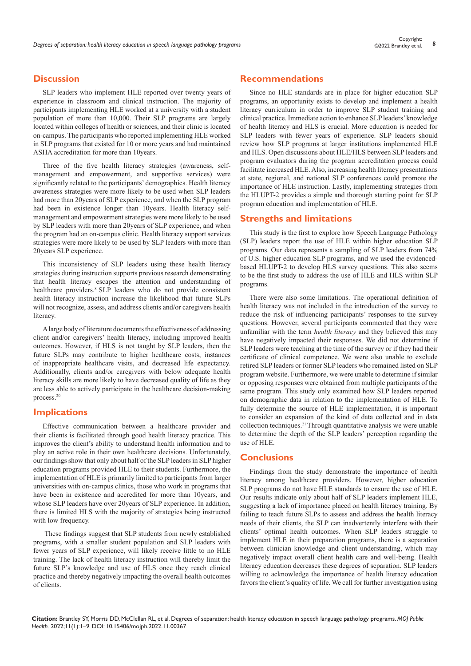# **Discussion**

SLP leaders who implement HLE reported over twenty years of experience in classroom and clinical instruction. The majority of participants implementing HLE worked at a university with a student population of more than 10,000. Their SLP programs are largely located within colleges of health or sciences, and their clinic is located on-campus. The participants who reported implementing HLE worked in SLP programs that existed for 10 or more years and had maintained ASHA accreditation for more than 10years.

Three of the five health literacy strategies (awareness, selfmanagement and empowerment, and supportive services) were significantly related to the participants' demographics. Health literacy awareness strategies were more likely to be used when SLP leaders had more than 20years of SLP experience, and when the SLP program had been in existence longer than 10years. Health literacy selfmanagement and empowerment strategies were more likely to be used by SLP leaders with more than 20years of SLP experience, and when the program had an on-campus clinic. Health literacy support services strategies were more likely to be used by SLP leaders with more than 20years SLP experience.

This inconsistency of SLP leaders using these health literacy strategies during instruction supports previous research demonstrating that health literacy escapes the attention and understanding of healthcare providers.<sup>8</sup> SLP leaders who do not provide consistent health literacy instruction increase the likelihood that future SLPs will not recognize, assess, and address clients and/or caregivers health literacy.

A large body of literature documents the effectiveness of addressing client and/or caregivers' health literacy, including improved health outcomes. However, if HLS is not taught by SLP leaders, then the future SLPs may contribute to higher healthcare costs, instances of inappropriate healthcare visits, and decreased life expectancy. Additionally, clients and/or caregivers with below adequate health literacy skills are more likely to have decreased quality of life as they are less able to actively participate in the healthcare decision-making process.20

## **Implications**

Effective communication between a healthcare provider and their clients is facilitated through good health literacy practice. This improves the client's ability to understand health information and to play an active role in their own healthcare decisions. Unfortunately, our findings show that only about half of the SLP leaders in SLP higher education programs provided HLE to their students. Furthermore, the implementation of HLE is primarily limited to participants from larger universities with on-campus clinics, those who work in programs that have been in existence and accredited for more than 10years, and whose SLP leaders have over 20years of SLP experience. In addition, there is limited HLS with the majority of strategies being instructed with low frequency.

 These findings suggest that SLP students from newly established programs, with a smaller student population and SLP leaders with fewer years of SLP experience, will likely receive little to no HLE training. The lack of health literacy instruction will thereby limit the future SLP's knowledge and use of HLS once they reach clinical practice and thereby negatively impacting the overall health outcomes of clients.

## **Recommendations**

Since no HLE standards are in place for higher education SLP programs, an opportunity exists to develop and implement a health literacy curriculum in order to improve SLP student training and clinical practice. Immediate action to enhance SLP leaders' knowledge of health literacy and HLS is crucial. More education is needed for SLP leaders with fewer years of experience. SLP leaders should review how SLP programs at larger institutions implemented HLE and HLS. Open discussions about HLE/HLS between SLP leaders and program evaluators during the program accreditation process could facilitate increased HLE. Also, increasing health literacy presentations at state, regional, and national SLP conferences could promote the importance of HLE instruction. Lastly, implementing strategies from the HLUPT-2 provides a simple and thorough starting point for SLP program education and implementation of HLE.

## **Strengths and limitations**

This study is the first to explore how Speech Language Pathology (SLP) leaders report the use of HLE within higher education SLP programs. Our data represents a sampling of SLP leaders from 74% of U.S. higher education SLP programs, and we used the evidencedbased HLUPT-2 to develop HLS survey questions. This also seems to be the first study to address the use of HLE and HLS within SLP programs.

There were also some limitations. The operational definition of health literacy was not included in the introduction of the survey to reduce the risk of influencing participants' responses to the survey questions. However, several participants commented that they were unfamiliar with the term *health literacy* and they believed this may have negatively impacted their responses. We did not determine if SLP leaders were teaching at the time of the survey or if they had their certificate of clinical competence. We were also unable to exclude retired SLP leaders or former SLP leaders who remained listed on SLP program website. Furthermore, we were unable to determine if similar or opposing responses were obtained from multiple participants of the same program. This study only examined how SLP leaders reported on demographic data in relation to the implementation of HLE. To fully determine the source of HLE implementation, it is important to consider an expansion of the kind of data collected and in data collection techniques.21 Through quantitative analysis we were unable to determine the depth of the SLP leaders' perception regarding the use of HLE.

#### **Conclusions**

Findings from the study demonstrate the importance of health literacy among healthcare providers. However, higher education SLP programs do not have HLE standards to ensure the use of HLE. Our results indicate only about half of SLP leaders implement HLE, suggesting a lack of importance placed on health literacy training. By failing to teach future SLPs to assess and address the health literacy needs of their clients, the SLP can inadvertently interfere with their clients' optimal health outcomes. When SLP leaders struggle to implement HLE in their preparation programs, there is a separation between clinician knowledge and client understanding, which may negatively impact overall client health care and well-being. Health literacy education decreases these degrees of separation. SLP leaders willing to acknowledge the importance of health literacy education favors the client's quality of life. We call for further investigation using